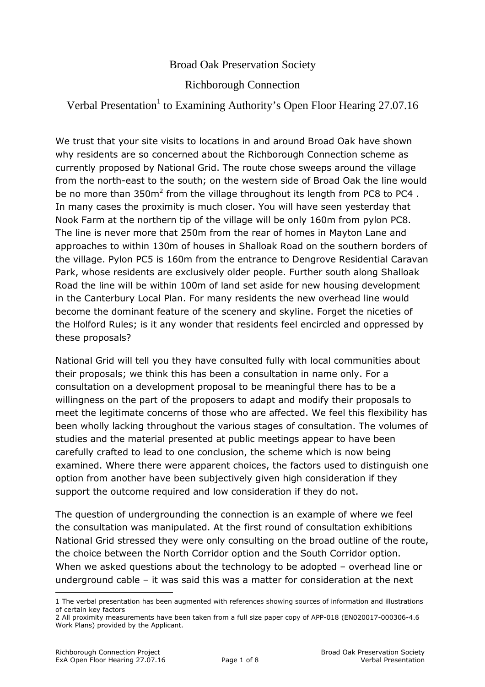## Broad Oak Preservation Society

## Richborough Connection

## Verbal Presentation<sup>1</sup> to Examining Authority's Open Floor Hearing 27.07.16

We trust that your site visits to locations in and around Broad Oak have shown why residents are so concerned about the Richborough Connection scheme as currently proposed by National Grid. The route chose sweeps around the village from the north-east to the south; on the western side of Broad Oak the line would be no more than 350m<sup>2</sup> from the village throughout its length from PC8 to PC4. In many cases the proximity is much closer. You will have seen yesterday that Nook Farm at the northern tip of the village will be only 160m from pylon PC8. The line is never more that 250m from the rear of homes in Mayton Lane and approaches to within 130m of houses in Shalloak Road on the southern borders of the village. Pylon PC5 is 160m from the entrance to Dengrove Residential Caravan Park, whose residents are exclusively older people. Further south along Shalloak Road the line will be within 100m of land set aside for new housing development in the Canterbury Local Plan. For many residents the new overhead line would become the dominant feature of the scenery and skyline. Forget the niceties of the Holford Rules; is it any wonder that residents feel encircled and oppressed by these proposals?

National Grid will tell you they have consulted fully with local communities about their proposals; we think this has been a consultation in name only. For a consultation on a development proposal to be meaningful there has to be a willingness on the part of the proposers to adapt and modify their proposals to meet the legitimate concerns of those who are affected. We feel this flexibility has been wholly lacking throughout the various stages of consultation. The volumes of studies and the material presented at public meetings appear to have been carefully crafted to lead to one conclusion, the scheme which is now being examined. Where there were apparent choices, the factors used to distinguish one option from another have been subjectively given high consideration if they support the outcome required and low consideration if they do not.

The question of undergrounding the connection is an example of where we feel the consultation was manipulated. At the first round of consultation exhibitions National Grid stressed they were only consulting on the broad outline of the route, the choice between the North Corridor option and the South Corridor option. When we asked questions about the technology to be adopted – overhead line or underground cable – it was said this was a matter for consideration at the next

<sup>1</sup> The verbal presentation has been augmented with references showing sources of information and illustrations of certain key factors

<sup>2</sup> All proximity measurements have been taken from a full size paper copy of APP-018 (EN020017-000306-4.6 Work Plans) provided by the Applicant.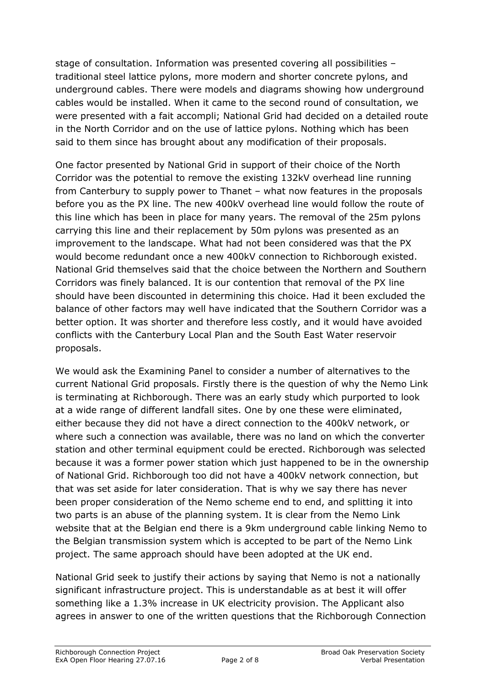stage of consultation. Information was presented covering all possibilities – traditional steel lattice pylons, more modern and shorter concrete pylons, and underground cables. There were models and diagrams showing how underground cables would be installed. When it came to the second round of consultation, we were presented with a fait accompli; National Grid had decided on a detailed route in the North Corridor and on the use of lattice pylons. Nothing which has been said to them since has brought about any modification of their proposals.

One factor presented by National Grid in support of their choice of the North Corridor was the potential to remove the existing 132kV overhead line running from Canterbury to supply power to Thanet – what now features in the proposals before you as the PX line. The new 400kV overhead line would follow the route of this line which has been in place for many years. The removal of the 25m pylons carrying this line and their replacement by 50m pylons was presented as an improvement to the landscape. What had not been considered was that the PX would become redundant once a new 400kV connection to Richborough existed. National Grid themselves said that the choice between the Northern and Southern Corridors was finely balanced. It is our contention that removal of the PX line should have been discounted in determining this choice. Had it been excluded the balance of other factors may well have indicated that the Southern Corridor was a better option. It was shorter and therefore less costly, and it would have avoided conflicts with the Canterbury Local Plan and the South East Water reservoir proposals.

We would ask the Examining Panel to consider a number of alternatives to the current National Grid proposals. Firstly there is the question of why the Nemo Link is terminating at Richborough. There was an early study which purported to look at a wide range of different landfall sites. One by one these were eliminated, either because they did not have a direct connection to the 400kV network, or where such a connection was available, there was no land on which the converter station and other terminal equipment could be erected. Richborough was selected because it was a former power station which just happened to be in the ownership of National Grid. Richborough too did not have a 400kV network connection, but that was set aside for later consideration. That is why we say there has never been proper consideration of the Nemo scheme end to end, and splitting it into two parts is an abuse of the planning system. It is clear from the Nemo Link website that at the Belgian end there is a 9km underground cable linking Nemo to the Belgian transmission system which is accepted to be part of the Nemo Link project. The same approach should have been adopted at the UK end.

National Grid seek to justify their actions by saying that Nemo is not a nationally significant infrastructure project. This is understandable as at best it will offer something like a 1.3% increase in UK electricity provision. The Applicant also agrees in answer to one of the written questions that the Richborough Connection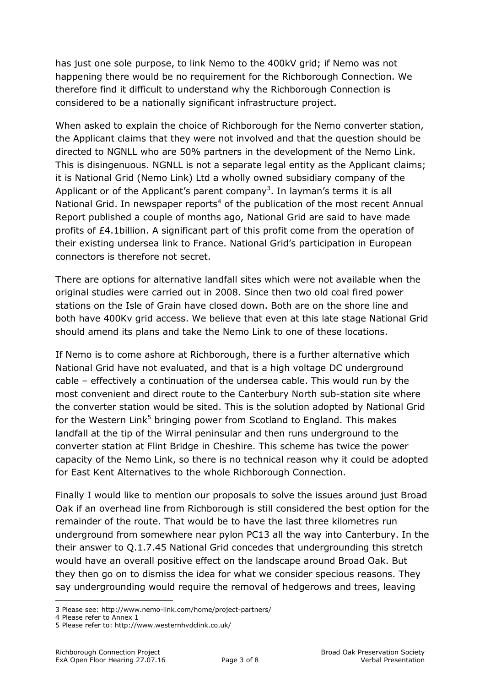has just one sole purpose, to link Nemo to the 400kV grid; if Nemo was not happening there would be no requirement for the Richborough Connection. We therefore find it difficult to understand why the Richborough Connection is considered to be a nationally significant infrastructure project.

When asked to explain the choice of Richborough for the Nemo converter station, the Applicant claims that they were not involved and that the question should be directed to NGNLL who are 50% partners in the development of the Nemo Link. This is disingenuous. NGNLL is not a separate legal entity as the Applicant claims; it is National Grid (Nemo Link) Ltd a wholly owned subsidiary company of the Applicant or of the Applicant's parent company<sup>3</sup>. In layman's terms it is all National Grid. In newspaper reports<sup>4</sup> of the publication of the most recent Annual Report published a couple of months ago, National Grid are said to have made profits of £4.1billion. A significant part of this profit come from the operation of their existing undersea link to France. National Grid's participation in European connectors is therefore not secret.

There are options for alternative landfall sites which were not available when the original studies were carried out in 2008. Since then two old coal fired power stations on the Isle of Grain have closed down. Both are on the shore line and both have 400Kv grid access. We believe that even at this late stage National Grid should amend its plans and take the Nemo Link to one of these locations.

If Nemo is to come ashore at Richborough, there is a further alternative which National Grid have not evaluated, and that is a high voltage DC underground cable – effectively a continuation of the undersea cable. This would run by the most convenient and direct route to the Canterbury North sub-station site where the converter station would be sited. This is the solution adopted by National Grid for the Western Link<sup>5</sup> bringing power from Scotland to England. This makes landfall at the tip of the Wirral peninsular and then runs underground to the converter station at Flint Bridge in Cheshire. This scheme has twice the power capacity of the Nemo Link, so there is no technical reason why it could be adopted for East Kent Alternatives to the whole Richborough Connection.

Finally I would like to mention our proposals to solve the issues around just Broad Oak if an overhead line from Richborough is still considered the best option for the remainder of the route. That would be to have the last three kilometres run underground from somewhere near pylon PC13 all the way into Canterbury. In the their answer to Q.1.7.45 National Grid concedes that undergrounding this stretch would have an overall positive effect on the landscape around Broad Oak. But they then go on to dismiss the idea for what we consider specious reasons. They say undergrounding would require the removal of hedgerows and trees, leaving

<sup>3</sup> Please see: http://www.nemo-link.com/home/project-partners/

<sup>4</sup> Please refer to Annex 1

<sup>5</sup> Please refer to: http://www.westernhvdclink.co.uk/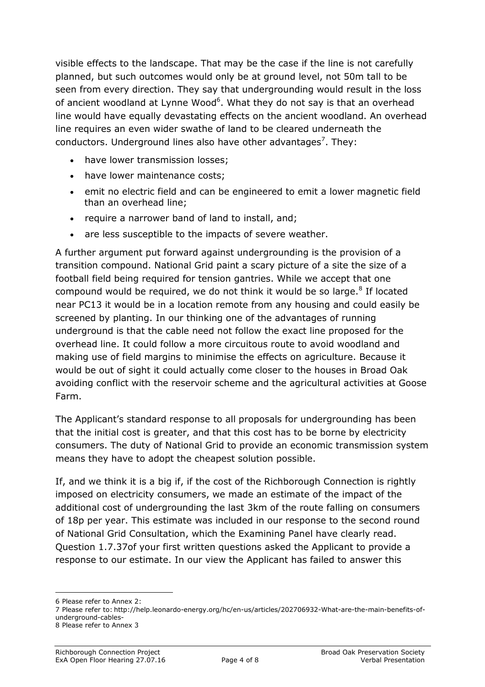visible effects to the landscape. That may be the case if the line is not carefully planned, but such outcomes would only be at ground level, not 50m tall to be seen from every direction. They say that undergrounding would result in the loss of ancient woodland at Lynne Wood<sup>6</sup>. What they do not say is that an overhead line would have equally devastating effects on the ancient woodland. An overhead line requires an even wider swathe of land to be cleared underneath the conductors. Underground lines also have other advantages<sup>7</sup>. They:

- have lower transmission losses;
- have lower maintenance costs;
- emit no electric field and can be engineered to emit a lower magnetic field than an overhead line;
- require a narrower band of land to install, and;
- are less susceptible to the impacts of severe weather.

A further argument put forward against undergrounding is the provision of a transition compound. National Grid paint a scary picture of a site the size of a football field being required for tension gantries. While we accept that one compound would be required, we do not think it would be so large. $8$  If located near PC13 it would be in a location remote from any housing and could easily be screened by planting. In our thinking one of the advantages of running underground is that the cable need not follow the exact line proposed for the overhead line. It could follow a more circuitous route to avoid woodland and making use of field margins to minimise the effects on agriculture. Because it would be out of sight it could actually come closer to the houses in Broad Oak avoiding conflict with the reservoir scheme and the agricultural activities at Goose Farm.

The Applicant's standard response to all proposals for undergrounding has been that the initial cost is greater, and that this cost has to be borne by electricity consumers. The duty of National Grid to provide an economic transmission system means they have to adopt the cheapest solution possible.

If, and we think it is a big if, if the cost of the Richborough Connection is rightly imposed on electricity consumers, we made an estimate of the impact of the additional cost of undergrounding the last 3km of the route falling on consumers of 18p per year. This estimate was included in our response to the second round of National Grid Consultation, which the Examining Panel have clearly read. Question 1.7.37of your first written questions asked the Applicant to provide a response to our estimate. In our view the Applicant has failed to answer this

<sup>6</sup> Please refer to Annex 2:

<sup>7</sup> Please refer to: http://help.leonardo-energy.org/hc/en-us/articles/202706932-What-are-the-main-benefits-ofunderground-cables-

<sup>8</sup> Please refer to Annex 3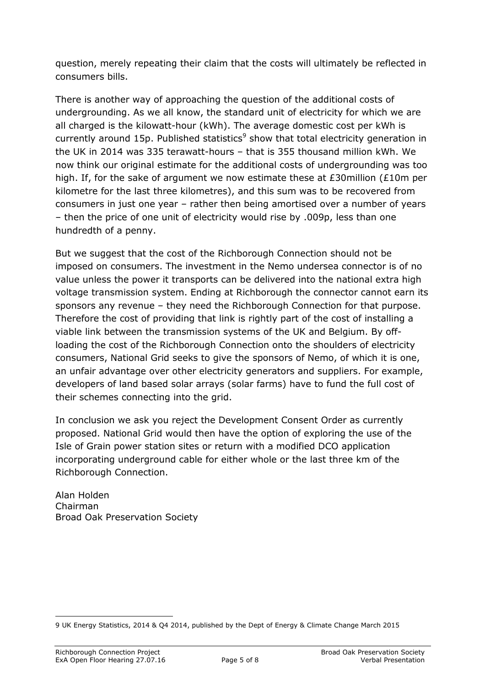question, merely repeating their claim that the costs will ultimately be reflected in consumers bills.

There is another way of approaching the question of the additional costs of undergrounding. As we all know, the standard unit of electricity for which we are all charged is the kilowatt-hour (kWh). The average domestic cost per kWh is currently around 15p. Published statistics<sup>9</sup> show that total electricity generation in the UK in 2014 was 335 terawatt-hours – that is 355 thousand million kWh. We now think our original estimate for the additional costs of undergrounding was too high. If, for the sake of argument we now estimate these at £30million (£10m per kilometre for the last three kilometres), and this sum was to be recovered from consumers in just one year – rather then being amortised over a number of years – then the price of one unit of electricity would rise by .009p, less than one hundredth of a penny.

But we suggest that the cost of the Richborough Connection should not be imposed on consumers. The investment in the Nemo undersea connector is of no value unless the power it transports can be delivered into the national extra high voltage transmission system. Ending at Richborough the connector cannot earn its sponsors any revenue – they need the Richborough Connection for that purpose. Therefore the cost of providing that link is rightly part of the cost of installing a viable link between the transmission systems of the UK and Belgium. By offloading the cost of the Richborough Connection onto the shoulders of electricity consumers, National Grid seeks to give the sponsors of Nemo, of which it is one, an unfair advantage over other electricity generators and suppliers. For example, developers of land based solar arrays (solar farms) have to fund the full cost of their schemes connecting into the grid.

In conclusion we ask you reject the Development Consent Order as currently proposed. National Grid would then have the option of exploring the use of the Isle of Grain power station sites or return with a modified DCO application incorporating underground cable for either whole or the last three km of the Richborough Connection.

Alan Holden Chairman Broad Oak Preservation Society

<sup>9</sup> UK Energy Statistics, 2014 & Q4 2014, published by the Dept of Energy & Climate Change March 2015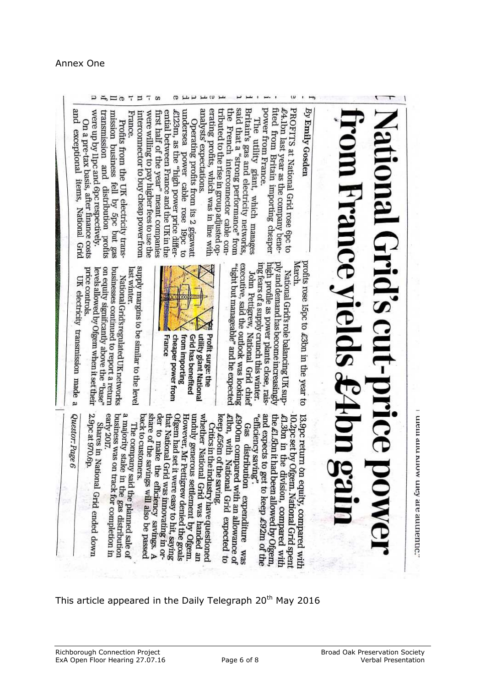## ment and muow utey are authentic;

# **CEN**  $\sum_{i=1}^n$

## By Emily Gosden

**PROFITS** at National Grid rose 6pc to  $f_{\text{eff}}$  $\ell^4$ . Ibn last year as

 $U$  $\overline{1}$ 

fited from Britain importing cheaper<br>power from Branco power from France. the company bene-

tributed to the rise in group adjusted op the said that a "strong performance" from<br>the Franch internal Britain's gas and electricity networks, The utility giant, which manages French interconnector cable con-

 $\overline{\phantom{a}}$ 

 $\overline{1}$   $\overline{2}$   $\overline{1}$ 

analysts' expectations. erating profits, which was in line with undersea Operating profits from its 2 gigawatt power cable rose

 $\sigma$   $\mu$   $\mu$   $\sigma$   $\mu$ 

ential between France and the UK in the £123m, as the "high power price differwere willing to pay higher lees to use the first half of the year" meant companies od<sub>61</sub>

France. interconnector to buy cheap power from Profits from the UK electricity trans-

 $\begin{array}{c}\n\Box \rightarrow \Box \rightarrow \Box \rightarrow \Box \rightarrow \Box \end{array}$ 

were up by lipc and 6pc respectively. transmission and mission business fell by 5pc but gas sutoriq nonnutristip

On a pre-tax basis, after finance costs exceptional items, **FRIODEN** Grid

profits rose l5pc to £3bn in the year to March.

high profile as power plants close, rais ply and demand has become increasingly National Grid's role balancing UK sup-

executive, said the outlook was looking mg rears of a supply crunch this winter "tight but manageable" and he expected John Pettigrew, National Grid chief



supply margins to be similar to the level<br>last winter **Iast winter** 

on equity significantly above the "base" businesses continued to report a return<br>of the state of the state of the state of price controls. levels allowed by Ofgem when it set their<br>price controls  $\rm{National\,Grid\,is\,regular\,ed\,UK\,networks}$ 

UK electricity transmission made

and expects to get to keep £92m of the 13.9pc return on equity, compared with "efficiency saving". the £1.5bn it had been allowed by Ofgem, £1.3bn in the division, compared with l0.2pc set by Ofgem. National Grid spen

keep £56m of the saving. £lbn, with National Grid  $\ell$ 900m compared with an allowance of  $\ell$ <br> $\ell$  $Gas$ distribution expenditure expected to **SEAA** 

share of the savings will also be passed<br>back to customers Ofgem had set it were easy to hit, saying<br>that National Grid was imported by the saying whether National Grid was handed an back to customers. unduly generous settlement by Ofgem.<br>However Mr Portironal der to make the efficiency savings. A share of the saving military savings. A that National Grid was impovating in or-<br>der to make the affairm However, Mr Pettigrew denied the goals<br>Ofteem had set it was Critics in the industry have questioned

early 2017 business was on track for completion in<br>early 2017. a majority stake in the gas distribution<br>business was on track for commutation. The company said the planned sale of majority stake in the company.

2.9pc at 970.6p. Shares in National Grid ended down<br>9pc at 970.6p.

Questor: Page 6

 $\omega$ 

pue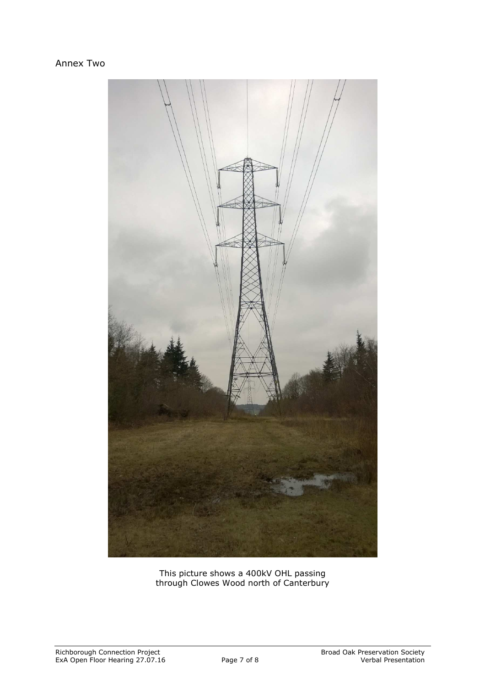## Annex Two



This picture shows a 400kV OHL passing through Clowes Wood north of Canterbury